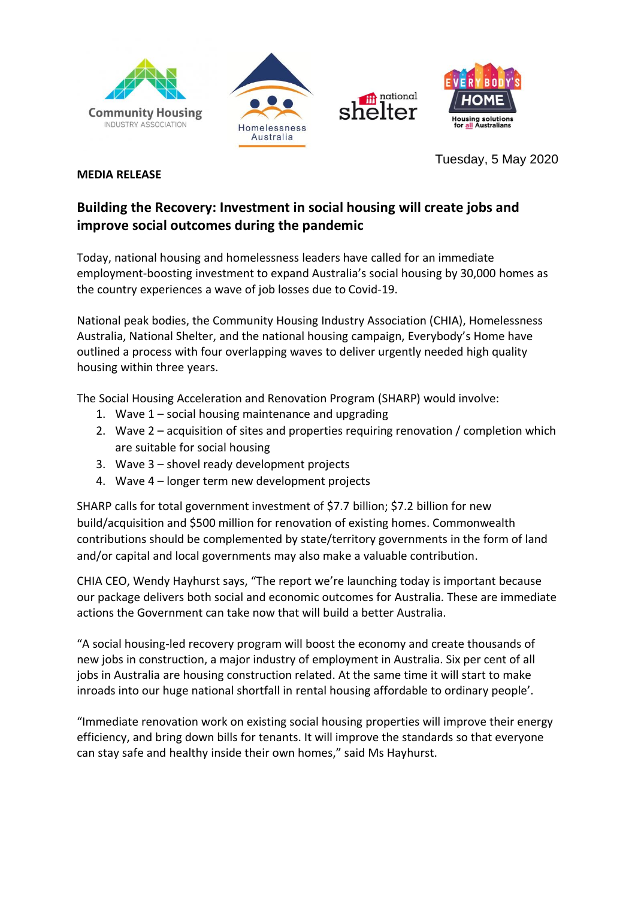







**MEDIA RELEASE**

Tuesday, 5 May 2020

## **Building the Recovery: Investment in social housing will create jobs and improve social outcomes during the pandemic**

Today, national housing and homelessness leaders have called for an immediate employment-boosting investment to expand Australia's social housing by 30,000 homes as the country experiences a wave of job losses due to Covid-19.

National peak bodies, the Community Housing Industry Association (CHIA), Homelessness Australia, National Shelter, and the national housing campaign, Everybody's Home have outlined a process with four overlapping waves to deliver urgently needed high quality housing within three years.

The Social Housing Acceleration and Renovation Program (SHARP) would involve:

- 1. Wave 1 social housing maintenance and upgrading
- 2. Wave 2 acquisition of sites and properties requiring renovation / completion which are suitable for social housing
- 3. Wave 3 shovel ready development projects
- 4. Wave 4 longer term new development projects

SHARP calls for total government investment of \$7.7 billion; \$7.2 billion for new build/acquisition and \$500 million for renovation of existing homes. Commonwealth contributions should be complemented by state/territory governments in the form of land and/or capital and local governments may also make a valuable contribution.

CHIA CEO, Wendy Hayhurst says, "The report we're launching today is important because our package delivers both social and economic outcomes for Australia. These are immediate actions the Government can take now that will build a better Australia.

"A social housing-led recovery program will boost the economy and create thousands of new jobs in construction, a major industry of employment in Australia. Six per cent of all jobs in Australia are housing construction related. At the same time it will start to make inroads into our huge national shortfall in rental housing affordable to ordinary people'.

"Immediate renovation work on existing social housing properties will improve their energy efficiency, and bring down bills for tenants. It will improve the standards so that everyone can stay safe and healthy inside their own homes," said Ms Hayhurst.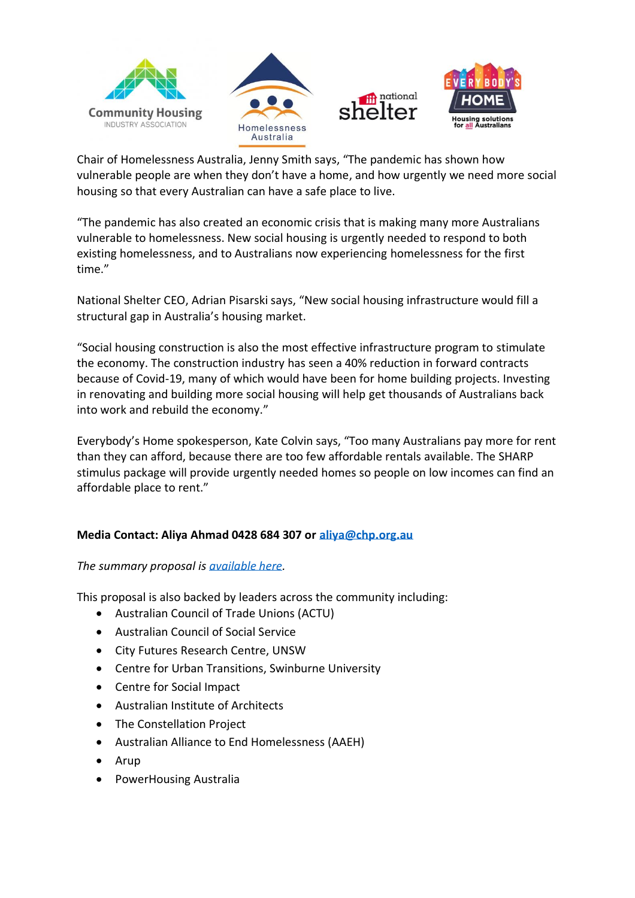







Chair of Homelessness Australia, Jenny Smith says, "The pandemic has shown how vulnerable people are when they don't have a home, and how urgently we need more social housing so that every Australian can have a safe place to live.

"The pandemic has also created an economic crisis that is making many more Australians vulnerable to homelessness. New social housing is urgently needed to respond to both existing homelessness, and to Australians now experiencing homelessness for the first time."

National Shelter CEO, Adrian Pisarski says, "New social housing infrastructure would fill a structural gap in Australia's housing market.

"Social housing construction is also the most effective infrastructure program to stimulate the economy. The construction industry has seen a 40% reduction in forward contracts because of Covid-19, many of which would have been for home building projects. Investing in renovating and building more social housing will help get thousands of Australians back into work and rebuild the economy."

Everybody's Home spokesperson, Kate Colvin says, "Too many Australians pay more for rent than they can afford, because there are too few affordable rentals available. The SHARP stimulus package will provide urgently needed homes so people on low incomes can find an affordable place to rent."

## **Media Contact: Aliya Ahmad 0428 684 307 or [aliya@chp.org.au](mailto:aliya@chp.org.au)**

## *The summary proposal is [available here.](https://www.communityhousing.com.au/wp-content/uploads/2020/05/SHARP-Program.pdf)*

This proposal is also backed by leaders across the community including:

- Australian Council of Trade Unions (ACTU)
- Australian Council of Social Service
- City Futures Research Centre, UNSW
- Centre for Urban Transitions, Swinburne University
- Centre for Social Impact
- Australian Institute of Architects
- The Constellation Project
- Australian Alliance to End Homelessness (AAEH)
- Arup
- PowerHousing Australia